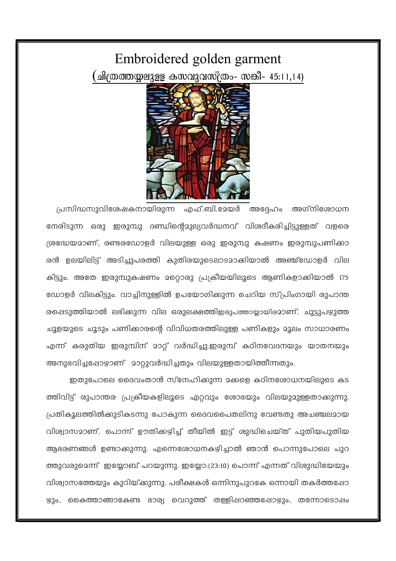## Embroidered golden garment ്ചിത്രത്തയ്യലുളള കസവുവസ്ത്രം– സങ്കീ– 45:11,14)



പ്രസിദ്ധസുവിശേഷകനായിരുന്ന എഫ്.ബി.മേയർ അദ്ദേഹം അഗ്നിരോധന നേരിടുന്ന ഒരു ഇരുമ്പു ദണ്ഡിന്റെമുല്യവർദ്ധനവ് വിശദീകരിച്ചിട്ടുള്ളത് വളരെ ശ്രദ്ധേയമാണ്, രണ്ടരഡോളർ വിലയുള്ള ഒരു ഇരുമ്പു കഷണം ഇരുമ്പുപണിക്കാ രൻ ഉലയിലിട്ട് അടിച്ചുപരത്തി കുതിരയുടെലാടമാക്കിയാൽ അഞ്ച്ഡോളർ വില കിട്ടും. അതേ ഇരുമ്പുകഷണം മറ്റൊരു പ്രക്രീയയിലൂടെ ആണികളാക്കിയാൽ 175 ഡോളർ വിലകിട്ടും. വാച്ചിനുള്ളിൽ ഉപയോഗിക്കുന്ന ചെറിയ സ്പ്രിംഗായി രുപാന്ത രപ്പെടുത്തിയാൽ ലഭിക്കുന്ന വില ഒരുലക്ഷത്തിഇരുപത്തായ്യായിരമാണ്. ചുട്ടുപഴുത്ത ചൂളയുടെ ചൂടും പണിക്കാരന്റെ വിവിധതരത്തിലുള്ള പണികളും മൂലം സാധാരണം എന്ന് കരുതിയ ഇരുമ്പിന് മാറ്റ് വർദ്ധിച്ചു.ഇരുമ്പ് കഠിനവേദനയും യാതനയും അനുഭവിച്ചപ്പോഴാണ് മാറ്റുവർദ്ധിച്ചതും വിലയുള്ളതായിത്തീന്നതും.

ഇതുപോലെ ദൈവംതാൻ സ്നേഹിക്കുന്ന മക്കളെ കഠിനരോധനയിലുടെ കട ത്തിവിട്ട് രുപാന്തര പ്രക്രീയകളിലൂടെ ഏറ്റവും ശോഭയും വിലയുമുള്ളതാക്കുന്നു. പ്രതികൂലത്തിൽക്കുടികടന്നു പോകുന്ന ദൈവപൈതലിനു വേണ്ടതു അചഞ്ചലമായ വിശ്വാസമാണ്. പൊന്ന് ഊതിക്കഴിച്ച് തീയിൽ ഇട്ട് ശുദ്ധിചെയ്ത് പുതിയപുതിയ ആഭരണങ്ങൾ ഉണ്ടാക്കുന്നു. എന്നെരോധനകഴിച്ചാൽ ഞാൻ പൊന്നുപോലെ പുറ ത്തുവരുമെന്ന് ഇയ്യോബ് പറയുന്നു. ഇയ്യോ:(23:10) പൊന്ന് എന്നത് വിശുദ്ധിയേയും വിശ്വാസത്തേയും കുറിയ്ക്കുന്നു. പരീക്ഷകൾ ഒന്നിനുപുറകേ ഒന്നായി തകർത്തപ്പോ ഴും, കൈത്താങ്ങാകേണ്ട ഭാര്യ വെറുത്ത് തള്ളിഷറഞ്ഞപ്പോഴും, തന്നോടൊഷം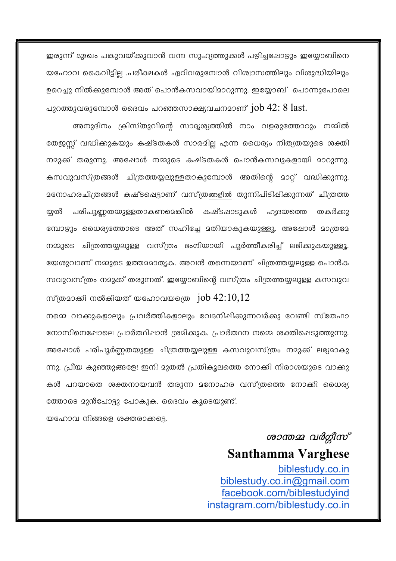ഇരുന്ന് ദുഃഖം പങ്കുവയ്ക്കുവാൻ വന്ന സുഹ്യത്തുക്കൾ പഴിച്ചപ്പോഴും ഇയ്യോബിനെ യഹോവ കൈവിട്ടില്ല .പരീക്ഷകൾ ഏറിവരുമ്പോൾ വിശ്വാസത്തിലും വിശുദ്ധിയിലും ഉറെച്ചു നിൽക്കുമ്പോൾ അത് പൊൻകസവായിമാറുന്നു. ഇയ്യോബ് പൊന്നുപോലെ പുറത്തുവരുമ്പോൾ ദൈവം പറഞ്ഞസാക്ഷ്യവചനമാണ്  $job$   $42:8$   $last.$ 

അനുദിനം ക്രിസ്തുവിന്റെ സാദൃശ്യത്തിൽ നാം വളരുത്തോറും നമ്മിൽ തേജസ് വദ്ധിക്കുകയും കഷ്ടതകൾ സാരമില എന്ന ധൈര്യം നിത്യതയുടെ ശക്തി നമുക്ക് തരുന്നു. അഷോൾ നമ്മുടെ കഷ്ടതകൾ പൊൻകസവുകളായി മാറുന്നു. കസവുവസ്ത്രങ്ങൾ ചിത്രത്തയ്യലുള്ളതാകുമ്പോൾ അതിന്റെ മാറ്റ് വദ്ധിക്കുന്നു. മനോഹരചിത്രങ്ങൾ കഷ്ടപ്പെട്ടാണ് വസ്ത്രങ്ങളിൽ തുന്നിപിടിപ്പിക്കുന്നത് ചിത്രത്ത യ്യൽ പരിപൂണ്ണതയുള്ളതാകണമെങ്കിൽ കഷ്ടഷാടുകൾ ഹൃദയത്തെ തകർക്കാ മ്പോഴും ധൈര്യത്തോടെ അത് സഹിച്ചേ മതിയാകുകയുള്ളൂ. അഷോൾ മാത്രമേ നമ്മുടെ ചിത്രത്തയ്യലുള്ള വസ്ത്രം ഭംഗിയായി പൂർത്തീകരിച്ച് ലഭിക്കുകയുള്ളൂ. യേശുവാണ് നമ്മുടെ ഉത്തമമാതൃക. അവൻ തന്നെയാണ് ചിത്രത്തയുലുള്ള പൊൻക സവുവസ്ത്രം നമുക്ക് തരുന്നത്. ഇയ്യോബിന്റെ വസ്ത്രം ചിത്രത്തയ്യലുള്ള കസവുവ

നമ്മെ വാക്കുകളാലും പ്രവർത്തികളാലും വേദനിഷിക്കുന്നവർക്കു വേണ്ടി സ്തേഫാ നോസിനെഷോലെ പ്രാർത്ഥിഷാൻ ശ്രമിക്കുക. പ്രാർത്ഥന നമ്മെ ശക്തിപ്പെടുത്തുന്നു. അഷോൾ പരിപൂർണ്ണതയുള്ള ചിത്രത്തയ്യലുള്ള കസവുവസ്ത്രം നമുക്ക് ലഭ്യമാകു ന്നു. പ്രീയ കുഞ്ഞുങ്ങളേ! ഇനി മുതൽ പ്രതികൂലത്തെ നോക്കി നിരാശയുടെ വാക്കു കൾ പറയാതെ ശക്തനായവൻ തരുന്ന മനോഹര വസ്ത്രത്തെ നോക്കി ധൈര്യ ത്തോടെ മുൻപോട്ടു പോകുക. ദൈവം കൂടെയുണ്ട്.

സ്ത്രമാക്കി നൽകിയത് യഹോവയത്രെ  $\mu$ iob 42:10,12

യഹോവ നിങ്ങളെ ശക്തരാക്കട്ടെ.

ശാന്തമ്മ വർഗ്ഗീസ് **Santhamma Varghese** biblestudy.co.in biblestudy.co.in@gmail.com facebook.com/biblestudyind instagram.com/biblestudy.co.in